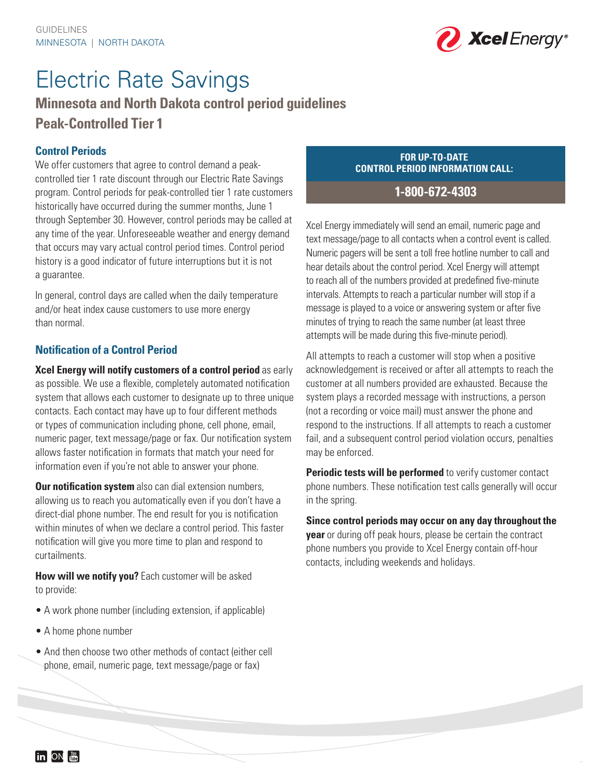

# Electric Rate Savings

## **Minnesota and North Dakota control period guidelines Peak-Controlled Tier 1**

## **Control Periods**

We offer customers that agree to control demand a peakcontrolled tier 1 rate discount through our Electric Rate Savings program. Control periods for peak-controlled tier 1 rate customers historically have occurred during the summer months, June 1 through September 30. However, control periods may be called at any time of the year. Unforeseeable weather and energy demand that occurs may vary actual control period times. Control period history is a good indicator of future interruptions but it is not a guarantee.

In general, control days are called when the daily temperature and/or heat index cause customers to use more energy than normal.

## **Notification of a Control Period**

**Xcel Energy will notify customers of a control period** as early as possible. We use a flexible, completely automated notification system that allows each customer to designate up to three unique contacts. Each contact may have up to four different methods or types of communication including phone, cell phone, email, numeric pager, text message/page or fax. Our notification system allows faster notification in formats that match your need for information even if you're not able to answer your phone.

**Our notification system** also can dial extension numbers, allowing us to reach you automatically even if you don't have a direct-dial phone number. The end result for you is notification within minutes of when we declare a control period. This faster notification will give you more time to plan and respond to curtailments.

**How will we notify you?** Each customer will be asked to provide:

- A work phone number (including extension, if applicable)
- A home phone number
- And then choose two other methods of contact (either cell phone, email, numeric page, text message/page or fax)

#### **FOR UP-TO-DATE CONTROL PERIOD INFORMATION CALL:**

## **1-800-672-4303**

Xcel Energy immediately will send an email, numeric page and text message/page to all contacts when a control event is called. Numeric pagers will be sent a toll free hotline number to call and hear details about the control period. Xcel Energy will attempt to reach all of the numbers provided at predefined five-minute intervals. Attempts to reach a particular number will stop if a message is played to a voice or answering system or after five minutes of trying to reach the same number (at least three attempts will be made during this five-minute period).

All attempts to reach a customer will stop when a positive acknowledgement is received or after all attempts to reach the customer at all numbers provided are exhausted. Because the system plays a recorded message with instructions, a person (not a recording or voice mail) must answer the phone and respond to the instructions. If all attempts to reach a customer fail, and a subsequent control period violation occurs, penalties may be enforced.

**Periodic tests will be performed** to verify customer contact phone numbers. These notification test calls generally will occur in the spring.

**Since control periods may occur on any day throughout the year** or during off peak hours, please be certain the contract phone numbers you provide to Xcel Energy contain off-hour contacts, including weekends and holidays.